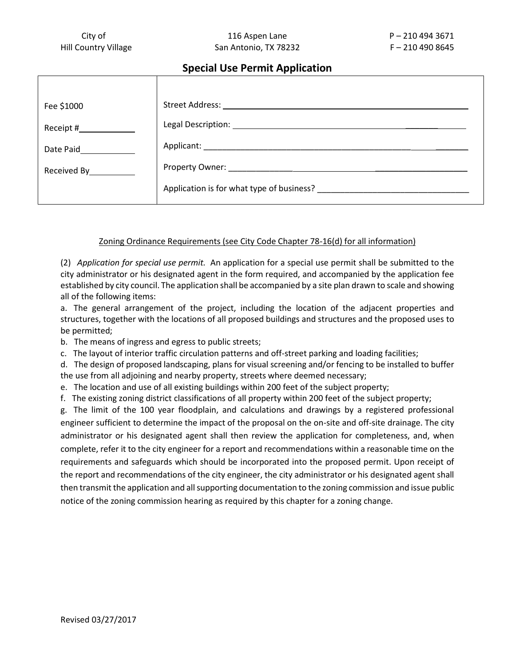## **Special Use Permit Application**

| Fee \$1000             | Street Address: 1988                      |
|------------------------|-------------------------------------------|
|                        |                                           |
| Date Paid              | Applicant: Applicant:                     |
| Received By___________ |                                           |
|                        | Application is for what type of business? |

## Zoning Ordinance Requirements (see City Code Chapter 78-16(d) for all information)

(2) *Application for special use permit.* An application for a special use permit shall be submitted to the city administrator or his designated agent in the form required, and accompanied by the application fee established by city council. The application shall be accompanied by a site plan drawn to scale and showing all of the following items:

a. The general arrangement of the project, including the location of the adjacent properties and structures, together with the locations of all proposed buildings and structures and the proposed uses to be permitted;

b. The means of ingress and egress to public streets;

c. The layout of interior traffic circulation patterns and off-street parking and loading facilities;

d. The design of proposed landscaping, plans for visual screening and/or fencing to be installed to buffer the use from all adjoining and nearby property, streets where deemed necessary;

e. The location and use of all existing buildings within 200 feet of the subject property;

f. The existing zoning district classifications of all property within 200 feet of the subject property;

g. The limit of the 100 year floodplain, and calculations and drawings by a registered professional engineer sufficient to determine the impact of the proposal on the on-site and off-site drainage. The city administrator or his designated agent shall then review the application for completeness, and, when complete, refer it to the city engineer for a report and recommendations within a reasonable time on the requirements and safeguards which should be incorporated into the proposed permit. Upon receipt of the report and recommendations of the city engineer, the city administrator or his designated agent shall then transmit the application and all supporting documentation to the zoning commission and issue public notice of the zoning commission hearing as required by this chapter for a zoning change.